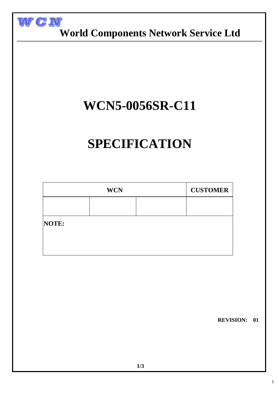

 **World Components Network Service Ltd**

## **WCN5-0056SR-C11**

# **SPECIFICATION**

| <b>WCN</b> |  |  | <b>CUSTOMER</b> |
|------------|--|--|-----------------|
|            |  |  |                 |
| NOTE:      |  |  |                 |
|            |  |  |                 |
|            |  |  |                 |

 **REVISION: 01**

1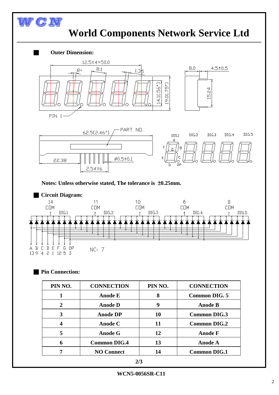### **World Components Network Service Ltd**



**Notes: Unless otherwise stated, The tolerance is** ±**0.25mm.**



#### ■ **Pin Connection:**

WGN

| PIN NO.        | <b>CONNECTION</b>   | PIN NO. | <b>CONNECTION</b>    |
|----------------|---------------------|---------|----------------------|
|                | Anode E             | 8       | <b>Common DIG. 5</b> |
| $\overline{2}$ | <b>Anode D</b>      | 9       | <b>Anode B</b>       |
| 3              | <b>Anode DP</b>     | 10      | <b>Common DIG.3</b>  |
|                | Anode C             | 11      | <b>Common DIG.2</b>  |
| 5              | <b>Anode G</b>      | 12      | <b>Anode F</b>       |
| 6              | <b>Common DIG.4</b> | 13      | <b>Anode A</b>       |
|                | <b>NO Connect</b>   | 14      | <b>Common DIG.1</b>  |